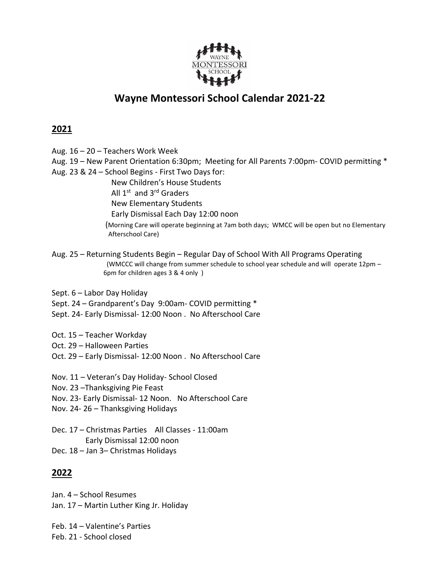

## **Wayne Montessori School Calendar 2021-22**

## **2021**

- Aug. 16 20 Teachers Work Week
- Aug. 19 New Parent Orientation 6:30pm; Meeting for All Parents 7:00pm- COVID permitting \*
- Aug. 23 & 24 School Begins First Two Days for:

New Children's House Students

All 1<sup>st</sup> and 3<sup>rd</sup> Graders

New Elementary Students

Early Dismissal Each Day 12:00 noon

(Morning Care will operate beginning at 7am both days; WMCC will be open but no Elementary Afterschool Care)

- Aug. 25 Returning Students Begin Regular Day of School With All Programs Operating (WMCCC will change from summer schedule to school year schedule and will operate 12pm – 6pm for children ages 3 & 4 only )
- Sept. 6 Labor Day Holiday
- Sept. 24 Grandparent's Day 9:00am- COVID permitting \*
- Sept. 24- Early Dismissal- 12:00 Noon . No Afterschool Care
- Oct. 15 Teacher Workday
- Oct. 29 Halloween Parties
- Oct. 29 Early Dismissal- 12:00 Noon . No Afterschool Care

Nov. 11 – Veteran's Day Holiday- School Closed

- Nov. 23 –Thanksgiving Pie Feast
- Nov. 23- Early Dismissal- 12 Noon. No Afterschool Care
- Nov. 24- 26 Thanksgiving Holidays
- Dec. 17 Christmas Parties All Classes 11:00am Early Dismissal 12:00 noon Dec. 18 – Jan 3– Christmas Holidays

## **2022**

Jan. 4 – School Resumes Jan. 17 – Martin Luther King Jr. Holiday

Feb. 14 – Valentine's Parties Feb. 21 - School closed